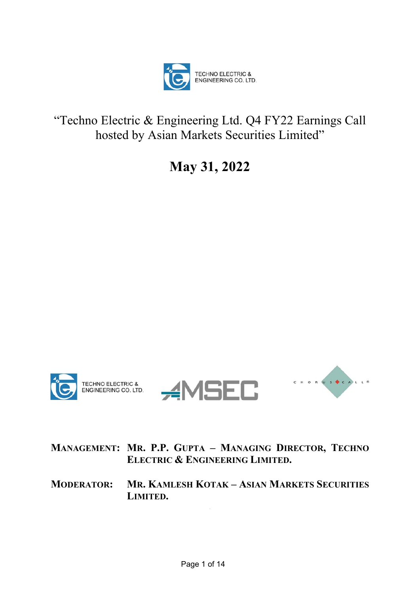

# "Techno Electric & Engineering Ltd. Q4 FY22 Earnings Call hosted by Asian Markets Securities Limited"

# **May 31, 2022**



- **MANAGEMENT: MR. P.P. GUPTA – MANAGING DIRECTOR, TECHNO ELECTRIC & ENGINEERING LIMITED.**
- **MODERATOR: MR. KAMLESH KOTAK – ASIAN MARKETS SECURITIES LIMITED.**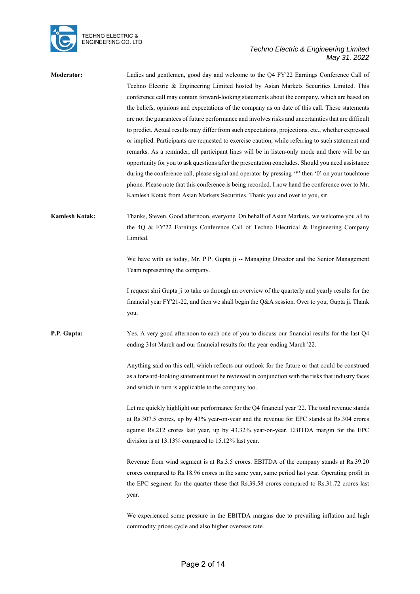

| Moderator:            | Ladies and gentlemen, good day and welcome to the Q4 FY'22 Earnings Conference Call of<br>Techno Electric & Engineering Limited hosted by Asian Markets Securities Limited. This<br>conference call may contain forward-looking statements about the company, which are based on<br>the beliefs, opinions and expectations of the company as on date of this call. These statements<br>are not the guarantees of future performance and involves risks and uncertainties that are difficult<br>to predict. Actual results may differ from such expectations, projections, etc., whether expressed<br>or implied. Participants are requested to exercise caution, while referring to such statement and<br>remarks. As a reminder, all participant lines will be in listen-only mode and there will be an<br>opportunity for you to ask questions after the presentation concludes. Should you need assistance<br>during the conference call, please signal and operator by pressing '*' then '0' on your touchtone<br>phone. Please note that this conference is being recorded. I now hand the conference over to Mr.<br>Kamlesh Kotak from Asian Markets Securities. Thank you and over to you, sir. |
|-----------------------|--------------------------------------------------------------------------------------------------------------------------------------------------------------------------------------------------------------------------------------------------------------------------------------------------------------------------------------------------------------------------------------------------------------------------------------------------------------------------------------------------------------------------------------------------------------------------------------------------------------------------------------------------------------------------------------------------------------------------------------------------------------------------------------------------------------------------------------------------------------------------------------------------------------------------------------------------------------------------------------------------------------------------------------------------------------------------------------------------------------------------------------------------------------------------------------------------------|
| <b>Kamlesh Kotak:</b> | Thanks, Steven. Good afternoon, everyone. On behalf of Asian Markets, we welcome you all to<br>the 4Q & FY'22 Earnings Conference Call of Techno Electrical & Engineering Company<br>Limited.                                                                                                                                                                                                                                                                                                                                                                                                                                                                                                                                                                                                                                                                                                                                                                                                                                                                                                                                                                                                          |
|                       | We have with us today, Mr. P.P. Gupta ji -- Managing Director and the Senior Management<br>Team representing the company.                                                                                                                                                                                                                                                                                                                                                                                                                                                                                                                                                                                                                                                                                                                                                                                                                                                                                                                                                                                                                                                                              |
|                       | I request shri Gupta ji to take us through an overview of the quarterly and yearly results for the<br>financial year FY'21-22, and then we shall begin the Q&A session. Over to you, Gupta ji. Thank<br>you.                                                                                                                                                                                                                                                                                                                                                                                                                                                                                                                                                                                                                                                                                                                                                                                                                                                                                                                                                                                           |
| P.P. Gupta:           | Yes. A very good afternoon to each one of you to discuss our financial results for the last Q4<br>ending 31st March and our financial results for the year-ending March '22.                                                                                                                                                                                                                                                                                                                                                                                                                                                                                                                                                                                                                                                                                                                                                                                                                                                                                                                                                                                                                           |
|                       | Anything said on this call, which reflects our outlook for the future or that could be construed<br>as a forward-looking statement must be reviewed in conjunction with the risks that industry faces<br>and which in turn is applicable to the company too.                                                                                                                                                                                                                                                                                                                                                                                                                                                                                                                                                                                                                                                                                                                                                                                                                                                                                                                                           |
|                       | Let me quickly highlight our performance for the Q4 financial year '22. The total revenue stands<br>at Rs.307.5 crores, up by 43% year-on-year and the revenue for EPC stands at Rs.304 crores<br>against Rs.212 crores last year, up by 43.32% year-on-year. EBITDA margin for the EPC<br>division is at 13.13% compared to 15.12% last year.                                                                                                                                                                                                                                                                                                                                                                                                                                                                                                                                                                                                                                                                                                                                                                                                                                                         |
|                       | Revenue from wind segment is at Rs.3.5 crores. EBITDA of the company stands at Rs.39.20<br>crores compared to Rs.18.96 crores in the same year, same period last year. Operating profit in<br>the EPC segment for the quarter these that Rs.39.58 crores compared to Rs.31.72 crores last<br>year.                                                                                                                                                                                                                                                                                                                                                                                                                                                                                                                                                                                                                                                                                                                                                                                                                                                                                                     |
|                       | We experienced some pressure in the EBITDA margins due to prevailing inflation and high<br>commodity prices cycle and also higher overseas rate.                                                                                                                                                                                                                                                                                                                                                                                                                                                                                                                                                                                                                                                                                                                                                                                                                                                                                                                                                                                                                                                       |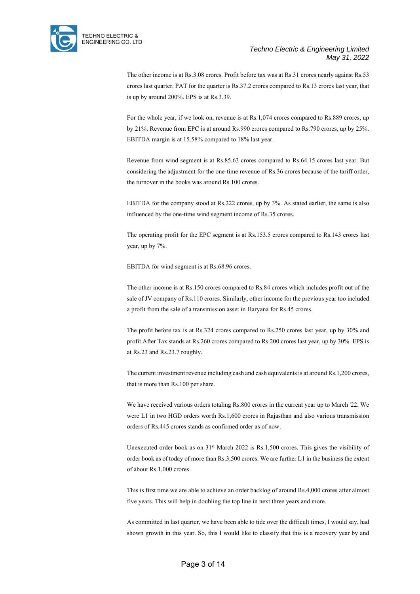

The other income is at Rs.3.08 crores. Profit before tax was at Rs.31 crores nearly against Rs.53 crores last quarter. PAT for the quarter is Rs.37.2 crores compared to Rs.13 crores last year, that is up by around 200%. EPS is at Rs.3.39.

For the whole year, if we look on, revenue is at Rs.1,074 crores compared to Rs.889 crores, up by 21%. Revenue from EPC is at around Rs.990 crores compared to Rs.790 crores, up by 25%. EBITDA margin is at 15.58% compared to 18% last year.

Revenue from wind segment is at Rs.85.63 crores compared to Rs.64.15 crores last year. But considering the adjustment for the one-time revenue of Rs.36 crores because of the tariff order, the turnover in the books was around Rs.100 crores.

EBITDA for the company stood at Rs.222 crores, up by 3%. As stated earlier, the same is also influenced by the one-time wind segment income of Rs.35 crores.

The operating profit for the EPC segment is at Rs.153.5 crores compared to Rs.143 crores last year, up by 7%.

EBITDA for wind segment is at Rs.68.96 crores.

The other income is at Rs.150 crores compared to Rs.84 crores which includes profit out of the sale of JV company of Rs.110 crores. Similarly, other income for the previous year too included a profit from the sale of a transmission asset in Haryana for Rs.45 crores.

The profit before tax is at Rs.324 crores compared to Rs.250 crores last year, up by 30% and profit After Tax stands at Rs.260 crores compared to Rs.200 crores last year, up by 30%. EPS is at Rs.23 and Rs.23.7 roughly.

The current investment revenue including cash and cash equivalents is at around Rs.1,200 crores, that is more than Rs.100 per share.

We have received various orders totaling Rs.800 crores in the current year up to March '22. We were L1 in two HGD orders worth Rs.1,600 crores in Rajasthan and also various transmission orders of Rs.445 crores stands as confirmed order as of now.

Unexecuted order book as on  $31<sup>st</sup>$  March 2022 is Rs.1,500 crores. This gives the visibility of order book as of today of more than Rs.3,500 crores. We are further L1 in the business the extent of about Rs.1,000 crores.

This is first time we are able to achieve an order backlog of around Rs.4,000 crores after almost five years. This will help in doubling the top line in next three years and more.

As committed in last quarter, we have been able to tide over the difficult times, I would say, had shown growth in this year. So, this I would like to classify that this is a recovery year by and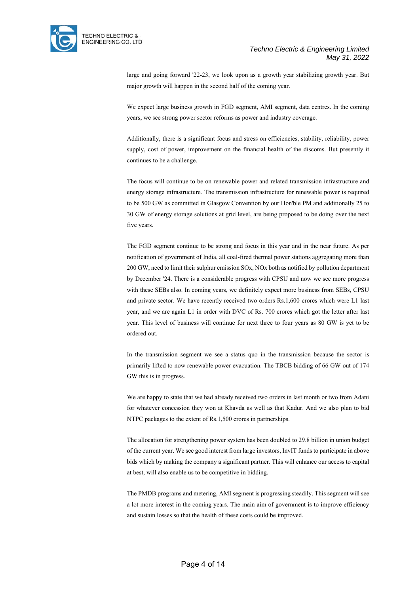

large and going forward '22-23, we look upon as a growth year stabilizing growth year. But major growth will happen in the second half of the coming year.

We expect large business growth in FGD segment, AMI segment, data centres. In the coming years, we see strong power sector reforms as power and industry coverage.

Additionally, there is a significant focus and stress on efficiencies, stability, reliability, power supply, cost of power, improvement on the financial health of the discoms. But presently it continues to be a challenge.

The focus will continue to be on renewable power and related transmission infrastructure and energy storage infrastructure. The transmission infrastructure for renewable power is required to be 500 GW as committed in Glasgow Convention by our Hon'ble PM and additionally 25 to 30 GW of energy storage solutions at grid level, are being proposed to be doing over the next five years.

The FGD segment continue to be strong and focus in this year and in the near future. As per notification of government of India, all coal-fired thermal power stations aggregating more than 200 GW, need to limit their sulphur emission SOx, NOx both as notified by pollution department by December '24. There is a considerable progress with CPSU and now we see more progress with these SEBs also. In coming years, we definitely expect more business from SEBs, CPSU and private sector. We have recently received two orders Rs.1,600 crores which were L1 last year, and we are again L1 in order with DVC of Rs. 700 crores which got the letter after last year. This level of business will continue for next three to four years as 80 GW is yet to be ordered out.

In the transmission segment we see a status quo in the transmission because the sector is primarily lifted to now renewable power evacuation. The TBCB bidding of 66 GW out of 174 GW this is in progress.

We are happy to state that we had already received two orders in last month or two from Adani for whatever concession they won at Khavda as well as that Kadur. And we also plan to bid NTPC packages to the extent of Rs.1,500 crores in partnerships.

The allocation for strengthening power system has been doubled to 29.8 billion in union budget of the current year. We see good interest from large investors, InvIT funds to participate in above bids which by making the company a significant partner. This will enhance our access to capital at best, will also enable us to be competitive in bidding.

The PMDB programs and metering, AMI segment is progressing steadily. This segment will see a lot more interest in the coming years. The main aim of government is to improve efficiency and sustain losses so that the health of these costs could be improved.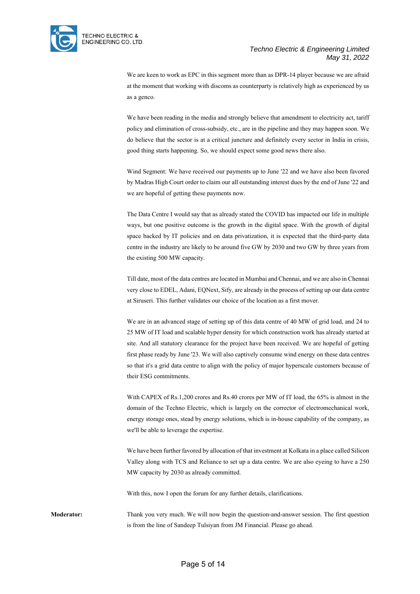

We are keen to work as EPC in this segment more than as DPR-14 player because we are afraid at the moment that working with discoms as counterparty is relatively high as experienced by us as a genco.

We have been reading in the media and strongly believe that amendment to electricity act, tariff policy and elimination of cross-subsidy, etc., are in the pipeline and they may happen soon. We do believe that the sector is at a critical juncture and definitely every sector in India in crisis, good thing starts happening. So, we should expect some good news there also.

Wind Segment: We have received our payments up to June '22 and we have also been favored by Madras High Court order to claim our all outstanding interest dues by the end of June '22 and we are hopeful of getting these payments now.

The Data Centre I would say that as already stated the COVID has impacted our life in multiple ways, but one positive outcome is the growth in the digital space. With the growth of digital space backed by IT policies and on data privatization, it is expected that the third-party data centre in the industry are likely to be around five GW by 2030 and two GW by three years from the existing 500 MW capacity.

Till date, most of the data centres are located in Mumbai and Chennai, and we are also in Chennai very close to EDEL, Adani, EQNext, Sify, are already in the process of setting up our data centre at Siruseri. This further validates our choice of the location as a first mover.

We are in an advanced stage of setting up of this data centre of 40 MW of grid load, and 24 to 25 MW of IT load and scalable hyper density for which construction work has already started at site. And all statutory clearance for the project have been received. We are hopeful of getting first phase ready by June '23. We will also captively consume wind energy on these data centres so that it's a grid data centre to align with the policy of major hyperscale customers because of their ESG commitments.

With CAPEX of Rs.1,200 crores and Rs.40 crores per MW of IT load, the 65% is almost in the domain of the Techno Electric, which is largely on the corrector of electromechanical work, energy storage ones, stead by energy solutions, which is in-house capability of the company, as we'll be able to leverage the expertise.

We have been further favored by allocation of that investment at Kolkata in a place called Silicon Valley along with TCS and Reliance to set up a data centre. We are also eyeing to have a 250 MW capacity by 2030 as already committed.

With this, now I open the forum for any further details, clarifications.

**Moderator:** Thank you very much. We will now begin the question-and-answer session. The first question is from the line of Sandeep Tulsiyan from JM Financial. Please go ahead.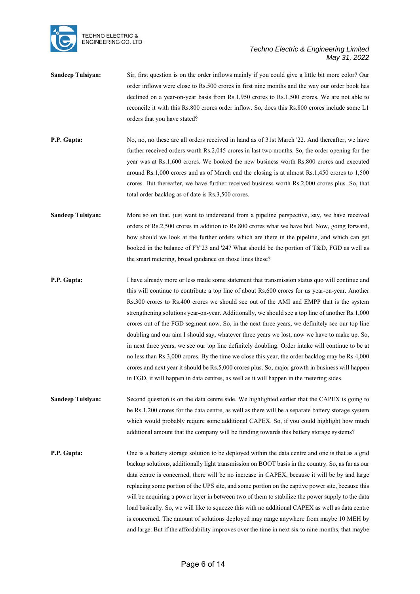

- **Sandeep Tulsiyan:** Sir, first question is on the order inflows mainly if you could give a little bit more color? Our order inflows were close to Rs.500 crores in first nine months and the way our order book has declined on a year-on-year basis from Rs.1,950 crores to Rs.1,500 crores. We are not able to reconcile it with this Rs.800 crores order inflow. So, does this Rs.800 crores include some L1 orders that you have stated?
- **P.P. Gupta:** No, no, no these are all orders received in hand as of 31st March '22. And thereafter, we have further received orders worth Rs.2,045 crores in last two months. So, the order opening for the year was at Rs.1,600 crores. We booked the new business worth Rs.800 crores and executed around Rs.1,000 crores and as of March end the closing is at almost Rs.1,450 crores to 1,500 crores. But thereafter, we have further received business worth Rs.2,000 crores plus. So, that total order backlog as of date is Rs.3,500 crores.
- **Sandeep Tulsiyan:** More so on that, just want to understand from a pipeline perspective, say, we have received orders of Rs.2,500 crores in addition to Rs.800 crores what we have bid. Now, going forward, how should we look at the further orders which are there in the pipeline, and which can get booked in the balance of FY'23 and '24? What should be the portion of T&D, FGD as well as the smart metering, broad guidance on those lines these?
- **P.P. Gupta:** I have already more or less made some statement that transmission status quo will continue and this will continue to contribute a top line of about Rs.600 crores for us year-on-year. Another Rs.300 crores to Rs.400 crores we should see out of the AMI and EMPP that is the system strengthening solutions year-on-year. Additionally, we should see a top line of another Rs.1,000 crores out of the FGD segment now. So, in the next three years, we definitely see our top line doubling and our aim I should say, whatever three years we lost, now we have to make up. So, in next three years, we see our top line definitely doubling. Order intake will continue to be at no less than Rs.3,000 crores. By the time we close this year, the order backlog may be Rs.4,000 crores and next year it should be Rs.5,000 crores plus. So, major growth in business will happen in FGD, it will happen in data centres, as well as it will happen in the metering sides.
- **Sandeep Tulsiyan:** Second question is on the data centre side. We highlighted earlier that the CAPEX is going to be Rs.1,200 crores for the data centre, as well as there will be a separate battery storage system which would probably require some additional CAPEX. So, if you could highlight how much additional amount that the company will be funding towards this battery storage systems?
- **P.P. Gupta:** One is a battery storage solution to be deployed within the data centre and one is that as a grid backup solutions, additionally light transmission on BOOT basis in the country. So, as far as our data centre is concerned, there will be no increase in CAPEX, because it will be by and large replacing some portion of the UPS site, and some portion on the captive power site, because this will be acquiring a power layer in between two of them to stabilize the power supply to the data load basically. So, we will like to squeeze this with no additional CAPEX as well as data centre is concerned. The amount of solutions deployed may range anywhere from maybe 10 MEH by and large. But if the affordability improves over the time in next six to nine months, that maybe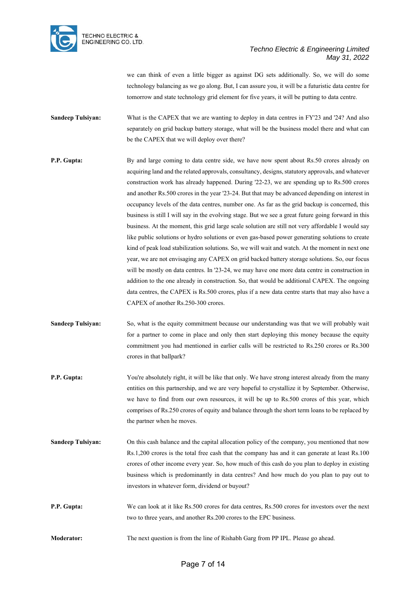

we can think of even a little bigger as against DG sets additionally. So, we will do some technology balancing as we go along. But, I can assure you, it will be a futuristic data centre for tomorrow and state technology grid element for five years, it will be putting to data centre.

**Sandeep Tulsiyan:** What is the CAPEX that we are wanting to deploy in data centres in FY'23 and '24? And also separately on grid backup battery storage, what will be the business model there and what can be the CAPEX that we will deploy over there?

**P.P. Gupta:** By and large coming to data centre side, we have now spent about Rs.50 crores already on acquiring land and the related approvals, consultancy, designs, statutory approvals, and whatever construction work has already happened. During '22-23, we are spending up to Rs.500 crores and another Rs.500 crores in the year '23-24. But that may be advanced depending on interest in occupancy levels of the data centres, number one. As far as the grid backup is concerned, this business is still I will say in the evolving stage. But we see a great future going forward in this business. At the moment, this grid large scale solution are still not very affordable I would say like public solutions or hydro solutions or even gas-based power generating solutions to create kind of peak load stabilization solutions. So, we will wait and watch. At the moment in next one year, we are not envisaging any CAPEX on grid backed battery storage solutions. So, our focus will be mostly on data centres. In '23-24, we may have one more data centre in construction in addition to the one already in construction. So, that would be additional CAPEX. The ongoing data centres, the CAPEX is Rs.500 crores, plus if a new data centre starts that may also have a CAPEX of another Rs.250-300 crores.

- **Sandeep Tulsiyan:** So, what is the equity commitment because our understanding was that we will probably wait for a partner to come in place and only then start deploying this money because the equity commitment you had mentioned in earlier calls will be restricted to Rs.250 crores or Rs.300 crores in that ballpark?
- **P.P. Gupta:** You're absolutely right, it will be like that only. We have strong interest already from the many entities on this partnership, and we are very hopeful to crystallize it by September. Otherwise, we have to find from our own resources, it will be up to Rs.500 crores of this year, which comprises of Rs.250 crores of equity and balance through the short term loans to be replaced by the partner when he moves.
- **Sandeep Tulsiyan:** On this cash balance and the capital allocation policy of the company, you mentioned that now Rs.1,200 crores is the total free cash that the company has and it can generate at least Rs.100 crores of other income every year. So, how much of this cash do you plan to deploy in existing business which is predominantly in data centres? And how much do you plan to pay out to investors in whatever form, dividend or buyout?
- **P.P. Gupta:** We can look at it like Rs.500 crores for data centres, Rs.500 crores for investors over the next two to three years, and another Rs.200 crores to the EPC business.
- **Moderator:** The next question is from the line of Rishabh Garg from PP IPL. Please go ahead.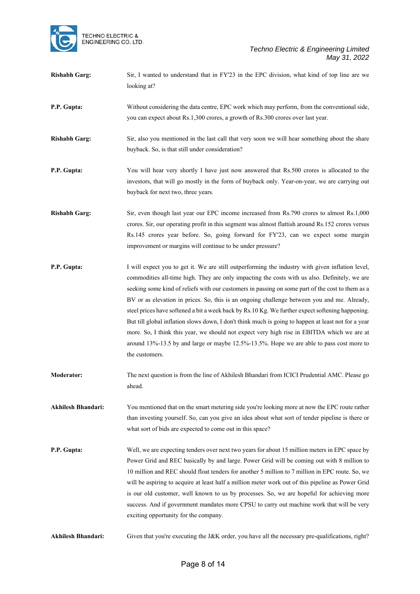

| <b>Rishabh Garg:</b>      | Sir, I wanted to understand that in FY'23 in the EPC division, what kind of top line are we<br>looking at?                                                                                                                                                                                                                                                                                                                                                                                                                                                                                                                                                                                                                                                                                                                  |
|---------------------------|-----------------------------------------------------------------------------------------------------------------------------------------------------------------------------------------------------------------------------------------------------------------------------------------------------------------------------------------------------------------------------------------------------------------------------------------------------------------------------------------------------------------------------------------------------------------------------------------------------------------------------------------------------------------------------------------------------------------------------------------------------------------------------------------------------------------------------|
| P.P. Gupta:               | Without considering the data centre, EPC work which may perform, from the conventional side,<br>you can expect about Rs.1,300 crores, a growth of Rs.300 crores over last year.                                                                                                                                                                                                                                                                                                                                                                                                                                                                                                                                                                                                                                             |
| <b>Rishabh Garg:</b>      | Sir, also you mentioned in the last call that very soon we will hear something about the share<br>buyback. So, is that still under consideration?                                                                                                                                                                                                                                                                                                                                                                                                                                                                                                                                                                                                                                                                           |
| P.P. Gupta:               | You will hear very shortly I have just now answered that Rs.500 crores is allocated to the<br>investors, that will go mostly in the form of buyback only. Year-on-year, we are carrying out<br>buyback for next two, three years.                                                                                                                                                                                                                                                                                                                                                                                                                                                                                                                                                                                           |
| <b>Rishabh Garg:</b>      | Sir, even though last year our EPC income increased from Rs.790 crores to almost Rs.1,000<br>crores. Sir, our operating profit in this segment was almost flattish around Rs.152 crores versus<br>Rs.145 crores year before. So, going forward for FY'23, can we expect some margin<br>improvement or margins will continue to be under pressure?                                                                                                                                                                                                                                                                                                                                                                                                                                                                           |
| P.P. Gupta:               | I will expect you to get it. We are still outperforming the industry with given inflation level,<br>commodities all-time high. They are only impacting the costs with us also. Definitely, we are<br>seeking some kind of reliefs with our customers in passing on some part of the cost to them as a<br>BV or as elevation in prices. So, this is an ongoing challenge between you and me. Already,<br>steel prices have softened a bit a week back by Rs.10 Kg. We further expect softening happening.<br>But till global inflation slows down, I don't think much is going to happen at least not for a year<br>more. So, I think this year, we should not expect very high rise in EBITDA which we are at<br>around 13%-13.5 by and large or maybe 12.5%-13.5%. Hope we are able to pass cost more to<br>the customers. |
| <b>Moderator:</b>         | The next question is from the line of Akhilesh Bhandari from ICICI Prudential AMC. Please go<br>ahead.                                                                                                                                                                                                                                                                                                                                                                                                                                                                                                                                                                                                                                                                                                                      |
| <b>Akhilesh Bhandari:</b> | You mentioned that on the smart metering side you're looking more at now the EPC route rather<br>than investing yourself. So, can you give an idea about what sort of tender pipeline is there or<br>what sort of bids are expected to come out in this space?                                                                                                                                                                                                                                                                                                                                                                                                                                                                                                                                                              |
| P.P. Gupta:               | Well, we are expecting tenders over next two years for about 15 million meters in EPC space by<br>Power Grid and REC basically by and large. Power Grid will be coming out with 8 million to<br>10 million and REC should float tenders for another 5 million to 7 million in EPC route. So, we<br>will be aspiring to acquire at least half a million meter work out of this pipeline as Power Grid<br>is our old customer, well known to us by processes. So, we are hopeful for achieving more<br>success. And if government mandates more CPSU to carry out machine work that will be very<br>exciting opportunity for the company.                                                                                                                                                                                     |
| <b>Akhilesh Bhandari:</b> | Given that you're executing the J&K order, you have all the necessary pre-qualifications, right?                                                                                                                                                                                                                                                                                                                                                                                                                                                                                                                                                                                                                                                                                                                            |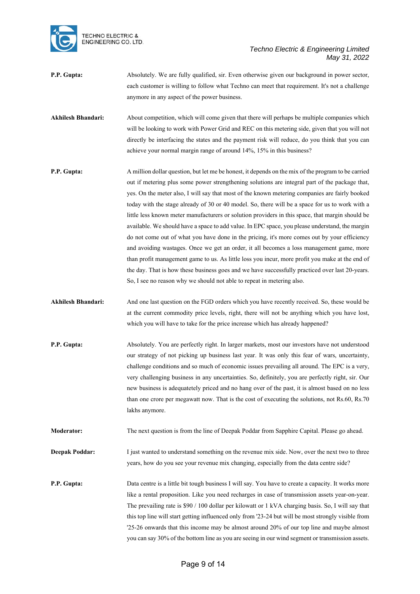

- **P.P. Gupta:** Absolutely. We are fully qualified, sir. Even otherwise given our background in power sector, each customer is willing to follow what Techno can meet that requirement. It's not a challenge anymore in any aspect of the power business.
- **Akhilesh Bhandari:** About competition, which will come given that there will perhaps be multiple companies which will be looking to work with Power Grid and REC on this metering side, given that you will not directly be interfacing the states and the payment risk will reduce, do you think that you can achieve your normal margin range of around 14%, 15% in this business?
- **P.P. Gupta:** A million dollar question, but let me be honest, it depends on the mix of the program to be carried out if metering plus some power strengthening solutions are integral part of the package that, yes. On the meter also, I will say that most of the known metering companies are fairly booked today with the stage already of 30 or 40 model. So, there will be a space for us to work with a little less known meter manufacturers or solution providers in this space, that margin should be available. We should have a space to add value. In EPC space, you please understand, the margin do not come out of what you have done in the pricing, it's more comes out by your efficiency and avoiding wastages. Once we get an order, it all becomes a loss management game, more than profit management game to us. As little loss you incur, more profit you make at the end of the day. That is how these business goes and we have successfully practiced over last 20-years. So, I see no reason why we should not able to repeat in metering also.
- **Akhilesh Bhandari:** And one last question on the FGD orders which you have recently received. So, these would be at the current commodity price levels, right, there will not be anything which you have lost, which you will have to take for the price increase which has already happened?
- **P.P. Gupta:** Absolutely. You are perfectly right. In larger markets, most our investors have not understood our strategy of not picking up business last year. It was only this fear of wars, uncertainty, challenge conditions and so much of economic issues prevailing all around. The EPC is a very, very challenging business in any uncertainties. So, definitely, you are perfectly right, sir. Our new business is adequatetely priced and no hang over of the past, it is almost based on no less than one crore per megawatt now. That is the cost of executing the solutions, not Rs.60, Rs.70 lakhs anymore.

**Moderator:** The next question is from the line of Deepak Poddar from Sapphire Capital. Please go ahead.

**Deepak Poddar:** I just wanted to understand something on the revenue mix side. Now, over the next two to three years, how do you see your revenue mix changing, especially from the data centre side?

**P.P. Gupta:** Data centre is a little bit tough business I will say. You have to create a capacity. It works more like a rental proposition. Like you need recharges in case of transmission assets year-on-year. The prevailing rate is \$90 / 100 dollar per kilowatt or 1 kVA charging basis. So, I will say that this top line will start getting influenced only from '23-24 but will be most strongly visible from '25-26 onwards that this income may be almost around 20% of our top line and maybe almost you can say 30% of the bottom line as you are seeing in our wind segment or transmission assets.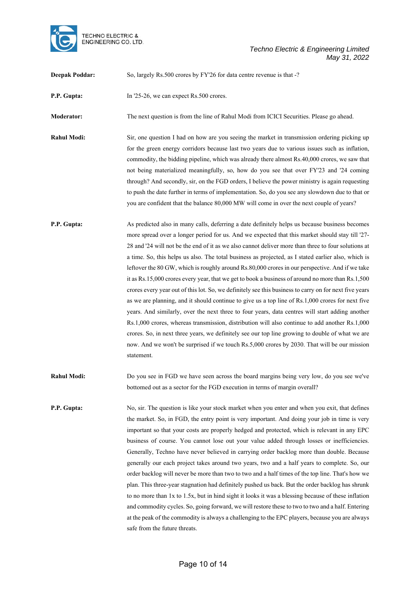

**Deepak Poddar:** So, largely Rs.500 crores by FY'26 for data centre revenue is that -?

**P.P. Gupta:** In '25-26, we can expect Rs.500 crores.

**Moderator:** The next question is from the line of Rahul Modi from ICICI Securities. Please go ahead.

**Rahul Modi:** Sir, one question I had on how are you seeing the market in transmission ordering picking up for the green energy corridors because last two years due to various issues such as inflation, commodity, the bidding pipeline, which was already there almost Rs.40,000 crores, we saw that not being materialized meaningfully, so, how do you see that over FY'23 and '24 coming through? And secondly, sir, on the FGD orders, I believe the power ministry is again requesting to push the date further in terms of implementation. So, do you see any slowdown due to that or you are confident that the balance 80,000 MW will come in over the next couple of years?

**P.P. Gupta:** As predicted also in many calls, deferring a date definitely helps us because business becomes more spread over a longer period for us. And we expected that this market should stay till '27- 28 and '24 will not be the end of it as we also cannot deliver more than three to four solutions at a time. So, this helps us also. The total business as projected, as I stated earlier also, which is leftover the 80 GW, which is roughly around Rs.80,000 crores in our perspective. And if we take it as Rs.15,000 crores every year, that we get to book a business of around no more than Rs.1,500 crores every year out of this lot. So, we definitely see this business to carry on for next five years as we are planning, and it should continue to give us a top line of Rs.1,000 crores for next five years. And similarly, over the next three to four years, data centres will start adding another Rs.1,000 crores, whereas transmission, distribution will also continue to add another Rs.1,000 crores. So, in next three years, we definitely see our top line growing to double of what we are now. And we won't be surprised if we touch Rs.5,000 crores by 2030. That will be our mission statement.

**Rahul Modi:** Do you see in FGD we have seen across the board margins being very low, do you see we've bottomed out as a sector for the FGD execution in terms of margin overall?

**P.P. Gupta:** No, sir. The question is like your stock market when you enter and when you exit, that defines the market. So, in FGD, the entry point is very important. And doing your job in time is very important so that your costs are properly hedged and protected, which is relevant in any EPC business of course. You cannot lose out your value added through losses or inefficiencies. Generally, Techno have never believed in carrying order backlog more than double. Because generally our each project takes around two years, two and a half years to complete. So, our order backlog will never be more than two to two and a half times of the top line. That's how we plan. This three-year stagnation had definitely pushed us back. But the order backlog has shrunk to no more than 1x to 1.5x, but in hind sight it looks it was a blessing because of these inflation and commodity cycles. So, going forward, we will restore these to two to two and a half. Entering at the peak of the commodity is always a challenging to the EPC players, because you are always safe from the future threats.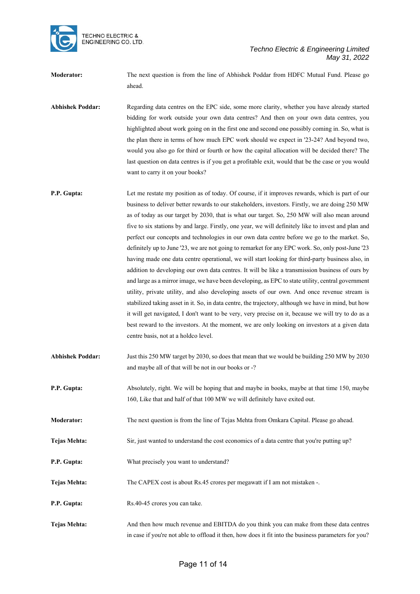

**Moderator:** The next question is from the line of Abhishek Poddar from HDFC Mutual Fund. Please go ahead.

**Abhishek Poddar:** Regarding data centres on the EPC side, some more clarity, whether you have already started bidding for work outside your own data centres? And then on your own data centres, you highlighted about work going on in the first one and second one possibly coming in. So, what is the plan there in terms of how much EPC work should we expect in '23-24? And beyond two, would you also go for third or fourth or how the capital allocation will be decided there? The last question on data centres is if you get a profitable exit, would that be the case or you would want to carry it on your books?

- **P.P. Gupta:** Let me restate my position as of today. Of course, if it improves rewards, which is part of our business to deliver better rewards to our stakeholders, investors. Firstly, we are doing 250 MW as of today as our target by 2030, that is what our target. So, 250 MW will also mean around five to six stations by and large. Firstly, one year, we will definitely like to invest and plan and perfect our concepts and technologies in our own data centre before we go to the market. So, definitely up to June '23, we are not going to remarket for any EPC work. So, only post-June '23 having made one data centre operational, we will start looking for third-party business also, in addition to developing our own data centres. It will be like a transmission business of ours by and large as a mirror image, we have been developing, as EPC to state utility, central government utility, private utility, and also developing assets of our own. And once revenue stream is stabilized taking asset in it. So, in data centre, the trajectory, although we have in mind, but how it will get navigated, I don't want to be very, very precise on it, because we will try to do as a best reward to the investors. At the moment, we are only looking on investors at a given data centre basis, not at a holdco level.
- **Abhishek Poddar:** Just this 250 MW target by 2030, so does that mean that we would be building 250 MW by 2030 and maybe all of that will be not in our books or -?
- **P.P. Gupta:** Absolutely, right. We will be hoping that and maybe in books, maybe at that time 150, maybe 160, Like that and half of that 100 MW we will definitely have exited out.
- **Moderator:** The next question is from the line of Tejas Mehta from Omkara Capital. Please go ahead.
- **Tejas Mehta:** Sir, just wanted to understand the cost economics of a data centre that you're putting up?
- **P.P. Gupta:** What precisely you want to understand?
- **Tejas Mehta:** The CAPEX cost is about Rs.45 crores per megawatt if I am not mistaken -.
- **P.P. Gupta:** Rs.40-45 crores you can take.
- **Tejas Mehta:** And then how much revenue and EBITDA do you think you can make from these data centres in case if you're not able to offload it then, how does it fit into the business parameters for you?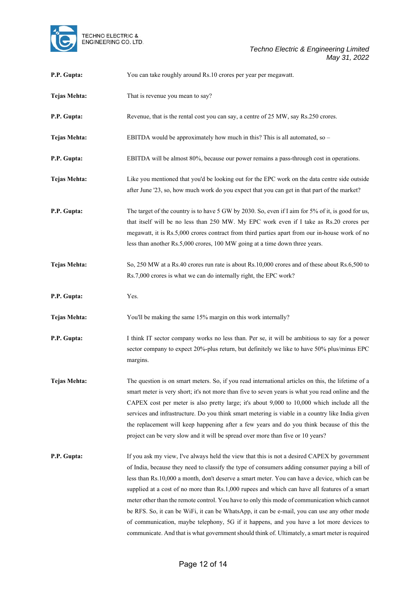

| P.P. Gupta:         | You can take roughly around Rs.10 crores per year per megawatt.                                                                                                                                                                                                                                                                                                                                                                                                                                                                                                                                                                                                                                                                                                                                 |
|---------------------|-------------------------------------------------------------------------------------------------------------------------------------------------------------------------------------------------------------------------------------------------------------------------------------------------------------------------------------------------------------------------------------------------------------------------------------------------------------------------------------------------------------------------------------------------------------------------------------------------------------------------------------------------------------------------------------------------------------------------------------------------------------------------------------------------|
| <b>Tejas Mehta:</b> | That is revenue you mean to say?                                                                                                                                                                                                                                                                                                                                                                                                                                                                                                                                                                                                                                                                                                                                                                |
| P.P. Gupta:         | Revenue, that is the rental cost you can say, a centre of 25 MW, say Rs.250 crores.                                                                                                                                                                                                                                                                                                                                                                                                                                                                                                                                                                                                                                                                                                             |
| <b>Tejas Mehta:</b> | EBITDA would be approximately how much in this? This is all automated, so -                                                                                                                                                                                                                                                                                                                                                                                                                                                                                                                                                                                                                                                                                                                     |
| P.P. Gupta:         | EBITDA will be almost 80%, because our power remains a pass-through cost in operations.                                                                                                                                                                                                                                                                                                                                                                                                                                                                                                                                                                                                                                                                                                         |
| <b>Tejas Mehta:</b> | Like you mentioned that you'd be looking out for the EPC work on the data centre side outside<br>after June '23, so, how much work do you expect that you can get in that part of the market?                                                                                                                                                                                                                                                                                                                                                                                                                                                                                                                                                                                                   |
| P.P. Gupta:         | The target of the country is to have 5 GW by 2030. So, even if I aim for 5% of it, is good for us,<br>that itself will be no less than 250 MW. My EPC work even if I take as Rs.20 crores per<br>megawatt, it is Rs.5,000 crores contract from third parties apart from our in-house work of no<br>less than another Rs.5,000 crores, 100 MW going at a time down three years.                                                                                                                                                                                                                                                                                                                                                                                                                  |
| <b>Tejas Mehta:</b> | So, 250 MW at a Rs.40 crores run rate is about Rs.10,000 crores and of these about Rs.6,500 to<br>Rs.7,000 crores is what we can do internally right, the EPC work?                                                                                                                                                                                                                                                                                                                                                                                                                                                                                                                                                                                                                             |
| P.P. Gupta:         | Yes.                                                                                                                                                                                                                                                                                                                                                                                                                                                                                                                                                                                                                                                                                                                                                                                            |
| <b>Tejas Mehta:</b> | You'll be making the same 15% margin on this work internally?                                                                                                                                                                                                                                                                                                                                                                                                                                                                                                                                                                                                                                                                                                                                   |
| P.P. Gupta:         | I think IT sector company works no less than. Per se, it will be ambitious to say for a power<br>sector company to expect 20%-plus return, but definitely we like to have 50% plus/minus EPC<br>margins.                                                                                                                                                                                                                                                                                                                                                                                                                                                                                                                                                                                        |
| Tejas Mehta:        | The question is on smart meters. So, if you read international articles on this, the lifetime of a<br>smart meter is very short; it's not more than five to seven years is what you read online and the<br>CAPEX cost per meter is also pretty large; it's about 9,000 to 10,000 which include all the<br>services and infrastructure. Do you think smart metering is viable in a country like India given<br>the replacement will keep happening after a few years and do you think because of this the<br>project can be very slow and it will be spread over more than five or 10 years?                                                                                                                                                                                                     |
| P.P. Gupta:         | If you ask my view, I've always held the view that this is not a desired CAPEX by government<br>of India, because they need to classify the type of consumers adding consumer paying a bill of<br>less than Rs.10,000 a month, don't deserve a smart meter. You can have a device, which can be<br>supplied at a cost of no more than Rs.1,000 rupees and which can have all features of a smart<br>meter other than the remote control. You have to only this mode of communication which cannot<br>be RFS. So, it can be WiFi, it can be WhatsApp, it can be e-mail, you can use any other mode<br>of communication, maybe telephony, 5G if it happens, and you have a lot more devices to<br>communicate. And that is what government should think of. Ultimately, a smart meter is required |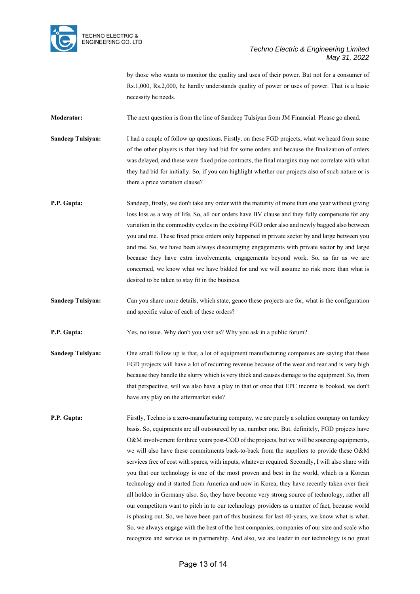

by those who wants to monitor the quality and uses of their power. But not for a consumer of Rs.1,000, Rs.2,000, he hardly understands quality of power or uses of power. That is a basic necessity he needs.

**Moderator:** The next question is from the line of Sandeep Tulsiyan from JM Financial. Please go ahead.

**Sandeep Tulsiyan:** I had a couple of follow up questions. Firstly, on these FGD projects, what we heard from some of the other players is that they had bid for some orders and because the finalization of orders was delayed, and these were fixed price contracts, the final margins may not correlate with what they had bid for initially. So, if you can highlight whether our projects also of such nature or is there a price variation clause?

- **P.P. Gupta:** Sandeep, firstly, we don't take any order with the maturity of more than one year without giving loss loss as a way of life. So, all our orders have BV clause and they fully compensate for any variation in the commodity cycles in the existing FGD order also and newly bagged also between you and me. These fixed price orders only happened in private sector by and large between you and me. So, we have been always discouraging engagements with private sector by and large because they have extra involvements, engagements beyond work. So, as far as we are concerned, we know what we have bidded for and we will assume no risk more than what is desired to be taken to stay fit in the business.
- **Sandeep Tulsiyan:** Can you share more details, which state, genco these projects are for, what is the configuration and specific value of each of these orders?
- **P.P. Gupta:** Yes, no issue. Why don't you visit us? Why you ask in a public forum?
- **Sandeep Tulsiyan:** One small follow up is that, a lot of equipment manufacturing companies are saying that these FGD projects will have a lot of recurring revenue because of the wear and tear and is very high because they handle the slurry which is very thick and causes damage to the equipment. So, from that perspective, will we also have a play in that or once that EPC income is booked, we don't have any play on the aftermarket side?

**P.P. Gupta:** Firstly, Techno is a zero-manufacturing company, we are purely a solution company on turnkey basis. So, equipments are all outsourced by us, number one. But, definitely, FGD projects have O&M involvement for three years post-COD of the projects, but we will be sourcing equipments, we will also have these commitments back-to-back from the suppliers to provide these O&M services free of cost with spares, with inputs, whatever required. Secondly, I will also share with you that our technology is one of the most proven and best in the world, which is a Korean technology and it started from America and now in Korea, they have recently taken over their all holdco in Germany also. So, they have become very strong source of technology, rather all our competitors want to pitch in to our technology providers as a matter of fact, because world is phasing out. So, we have been part of this business for last 40-years, we know what is what. So, we always engage with the best of the best companies, companies of our size and scale who recognize and service us in partnership. And also, we are leader in our technology is no great